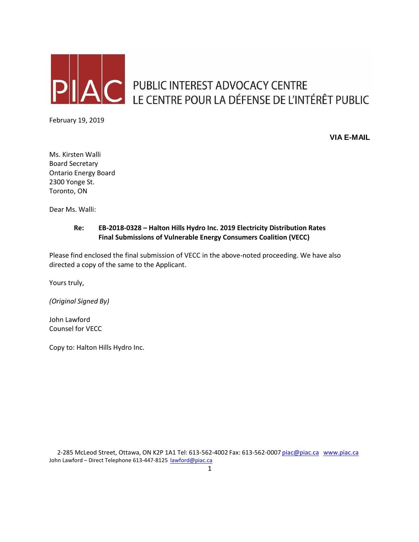

PUBLIC INTEREST ADVOCACY CENTRE LE CENTRE POUR LA DÉFENSE DE L'INTÉRÊT PUBLIC

February 19, 2019

**VIA E-MAIL**

Ms. Kirsten Walli Board Secretary Ontario Energy Board 2300 Yonge St. Toronto, ON

Dear Ms. Walli:

# **Re: EB-2018-0328 – Halton Hills Hydro Inc. 2019 Electricity Distribution Rates Final Submissions of Vulnerable Energy Consumers Coalition (VECC)**

Please find enclosed the final submission of VECC in the above-noted proceeding. We have also directed a copy of the same to the Applicant.

Yours truly,

*(Original Signed By)* 

John Lawford Counsel for VECC

Copy to: Halton Hills Hydro Inc.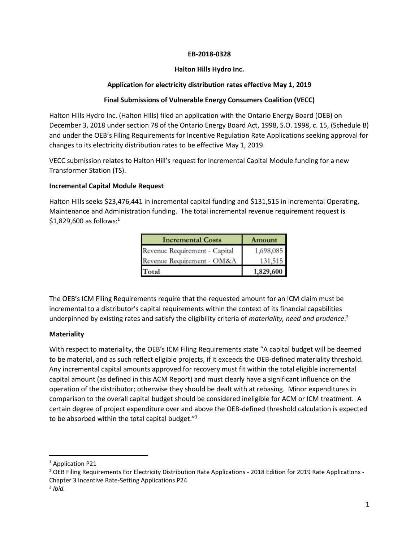#### **EB-2018-0328**

### **Halton Hills Hydro Inc.**

# **Application for electricity distribution rates effective May 1, 2019**

### **Final Submissions of Vulnerable Energy Consumers Coalition (VECC)**

Halton Hills Hydro Inc. (Halton Hills) filed an application with the Ontario Energy Board (OEB) on December 3, 2018 under section 78 of the Ontario Energy Board Act, 1998, S.O. 1998, c. 15, (Schedule B) and under the OEB's Filing Requirements for Incentive Regulation Rate Applications seeking approval for changes to its electricity distribution rates to be effective May 1, 2019.

VECC submission relates to Halton Hill's request for Incremental Capital Module funding for a new Transformer Station (TS).

### **Incremental Capital Module Request**

Halton Hills seeks \$23,476,441 in incremental capital funding and \$131,515 in incremental Operating, Maintenance and Administration funding. The total incremental revenue requirement request is  $$1,829,600$  as follows: $^1$ 

| <b>Incremental Costs</b>      | Amount    |
|-------------------------------|-----------|
| Revenue Requirement - Capital | 1,698,085 |
| Revenue Requirement - OM&A    | 131,515   |
| Total                         | 1,829,600 |

The OEB's ICM Filing Requirements require that the requested amount for an ICM claim must be incremental to a distributor's capital requirements within the context of its financial capabilities underpinned by existing rates and satisfy the eligibility criteria of *materiality, need and prudence*. 2

# **Materiality**

With respect to materiality, the OEB's ICM Filing Requirements state "A capital budget will be deemed to be material, and as such reflect eligible projects, if it exceeds the OEB-defined materiality threshold. Any incremental capital amounts approved for recovery must fit within the total eligible incremental capital amount (as defined in this ACM Report) and must clearly have a significant influence on the operation of the distributor; otherwise they should be dealt with at rebasing. Minor expenditures in comparison to the overall capital budget should be considered ineligible for ACM or ICM treatment. A certain degree of project expenditure over and above the OEB-defined threshold calculation is expected to be absorbed within the total capital budget."<sup>3</sup>

l

<sup>&</sup>lt;sup>1</sup> Application P21

<sup>&</sup>lt;sup>2</sup> OEB Filing Requirements For Electricity Distribution Rate Applications - 2018 Edition for 2019 Rate Applications -Chapter 3 Incentive Rate-Setting Applications P24

<sup>3</sup> *Ibid.*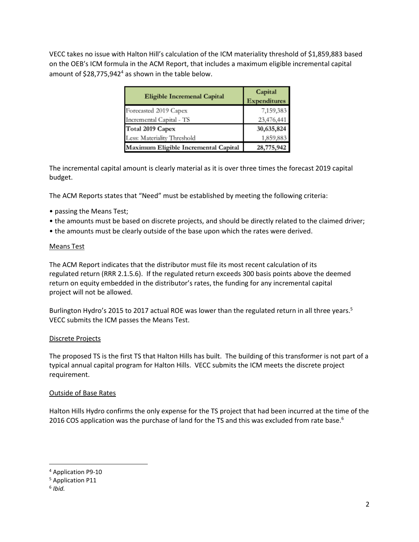VECC takes no issue with Halton Hill's calculation of the ICM materiality threshold of \$1,859,883 based on the OEB's ICM formula in the ACM Report, that includes a maximum eligible incremental capital amount of \$28,775,942<sup>4</sup> as shown in the table below.

| <b>Eligible Incremenal Capital</b>   | Capital<br><b>Expenditures</b> |
|--------------------------------------|--------------------------------|
| Forecasted 2019 Capex                | 7,159,383                      |
| Incremental Capital - TS             | 23,476,441                     |
| Total 2019 Capex                     | 30,635,824                     |
| Less: Materiality Threshold          | 1,859,883                      |
| Maximum Eligible Incremental Capital | 28,775,942                     |

The incremental capital amount is clearly material as it is over three times the forecast 2019 capital budget.

The ACM Reports states that "Need" must be established by meeting the following criteria:

- passing the Means Test;
- the amounts must be based on discrete projects, and should be directly related to the claimed driver;
- the amounts must be clearly outside of the base upon which the rates were derived.

### Means Test

The ACM Report indicates that the distributor must file its most recent calculation of its regulated return (RRR 2.1.5.6). If the regulated return exceeds 300 basis points above the deemed return on equity embedded in the distributor's rates, the funding for any incremental capital project will not be allowed.

Burlington Hydro's 2015 to 2017 actual ROE was lower than the regulated return in all three years.<sup>5</sup> VECC submits the ICM passes the Means Test.

### Discrete Projects

The proposed TS is the first TS that Halton Hills has built. The building of this transformer is not part of a typical annual capital program for Halton Hills. VECC submits the ICM meets the discrete project requirement.

### Outside of Base Rates

Halton Hills Hydro confirms the only expense for the TS project that had been incurred at the time of the 2016 COS application was the purchase of land for the TS and this was excluded from rate base.<sup>6</sup>

 $\overline{a}$ 

<sup>4</sup> Application P9-10

<sup>5</sup> Application P11

<sup>6</sup> *Ibid.*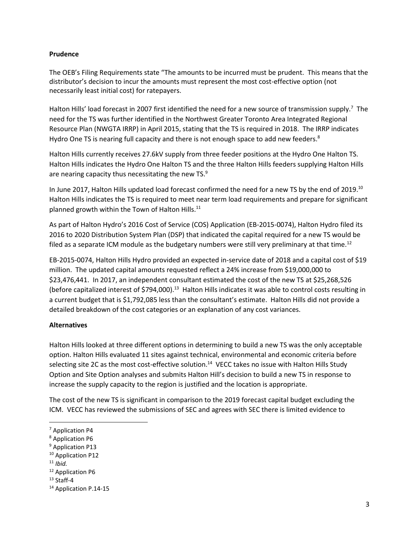#### **Prudence**

The OEB's Filing Requirements state "The amounts to be incurred must be prudent. This means that the distributor's decision to incur the amounts must represent the most cost-effective option (not necessarily least initial cost) for ratepayers.

Halton Hills' load forecast in 2007 first identified the need for a new source of transmission supply.<sup>7</sup> The need for the TS was further identified in the Northwest Greater Toronto Area Integrated Regional Resource Plan (NWGTA IRRP) in April 2015, stating that the TS is required in 2018. The IRRP indicates Hydro One TS is nearing full capacity and there is not enough space to add new feeders. $8$ 

Halton Hills currently receives 27.6kV supply from three feeder positions at the Hydro One Halton TS. Halton Hills indicates the Hydro One Halton TS and the three Halton Hills feeders supplying Halton Hills are nearing capacity thus necessitating the new TS.<sup>9</sup>

In June 2017, Halton Hills updated load forecast confirmed the need for a new TS by the end of 2019.<sup>10</sup> Halton Hills indicates the TS is required to meet near term load requirements and prepare for significant planned growth within the Town of Halton Hills.<sup>11</sup>

As part of Halton Hydro's 2016 Cost of Service (COS) Application (EB-2015-0074), Halton Hydro filed its 2016 to 2020 Distribution System Plan (DSP) that indicated the capital required for a new TS would be filed as a separate ICM module as the budgetary numbers were still very preliminary at that time.<sup>12</sup>

EB-2015-0074, Halton Hills Hydro provided an expected in-service date of 2018 and a capital cost of \$19 million. The updated capital amounts requested reflect a 24% increase from \$19,000,000 to \$23,476,441. In 2017, an independent consultant estimated the cost of the new TS at \$25,268,526 (before capitalized interest of \$794,000).<sup>13</sup> Halton Hills indicates it was able to control costs resulting in a current budget that is \$1,792,085 less than the consultant's estimate. Halton Hills did not provide a detailed breakdown of the cost categories or an explanation of any cost variances.

### **Alternatives**

Halton Hills looked at three different options in determining to build a new TS was the only acceptable option. Halton Hills evaluated 11 sites against technical, environmental and economic criteria before selecting site 2C as the most cost-effective solution.<sup>14</sup> VECC takes no issue with Halton Hills Study Option and Site Option analyses and submits Halton Hill's decision to build a new TS in response to increase the supply capacity to the region is justified and the location is appropriate.

The cost of the new TS is significant in comparison to the 2019 forecast capital budget excluding the ICM. VECC has reviewed the submissions of SEC and agrees with SEC there is limited evidence to

 $\overline{a}$ 

<sup>12</sup> Application P6

<sup>7</sup> Application P4

<sup>8</sup> Application P6

<sup>&</sup>lt;sup>9</sup> Application P13

<sup>&</sup>lt;sup>10</sup> Application P12

<sup>11</sup> *Ibid.*

 $13$  Staff-4

<sup>&</sup>lt;sup>14</sup> Application P.14-15